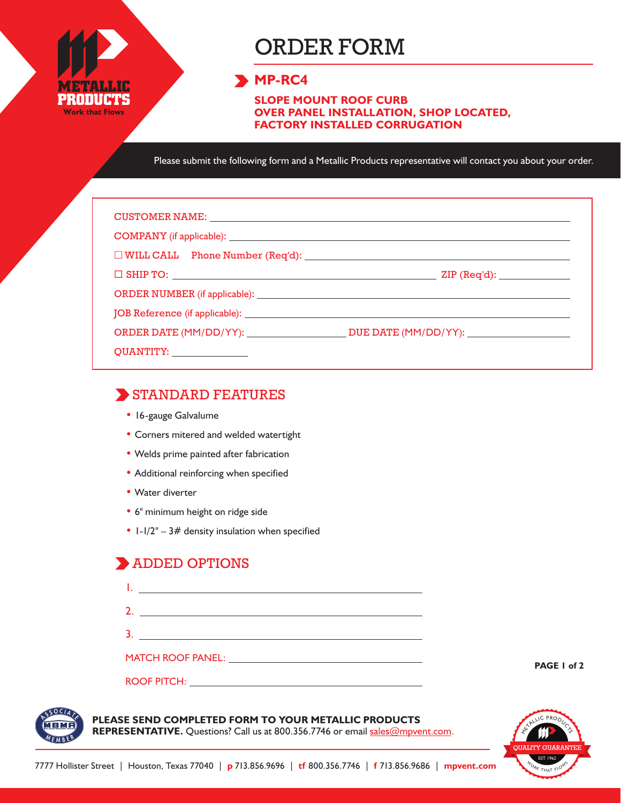

# ORDER FORM

## **MP-RC4**

**SLOPE MOUNT ROOF CURB OVER PANEL INSTALLATION, SHOP LOCATED, FACTORY INSTALLED CORRUGATION**

Please submit the following form and a Metallic Products representative will contact you about your order.

| CUSTOMER NAME: NAME: NAME AND A SERIES OF THE CONTRACT OF THE CONTRACT OF THE CONTRACT OF THE CONTRACT OF THE CONTRACT OF THE CONTRACT OF THE CONTRACT OF THE CONTRACT OF THE CONTRACT OF THE CONTRACT OF THE CONTRACT OF THE |                                            |
|-------------------------------------------------------------------------------------------------------------------------------------------------------------------------------------------------------------------------------|--------------------------------------------|
|                                                                                                                                                                                                                               |                                            |
|                                                                                                                                                                                                                               |                                            |
|                                                                                                                                                                                                                               | $\mathsf{ZIP}\left(\mathsf{Req'd}\right):$ |
|                                                                                                                                                                                                                               |                                            |
|                                                                                                                                                                                                                               |                                            |
|                                                                                                                                                                                                                               |                                            |
| QUANTITY: _______________                                                                                                                                                                                                     |                                            |

### STANDARD FEATURES

- 16-gauge Galvalume
- Corners mitered and welded watertight
- Welds prime painted after fabrication
- Additional reinforcing when specified
- Water diverter
- 6" minimum height on ridge side
- $1-1/2" 3#$  density insulation when specified

### ADDED OPTIONS

| the control of the control of the control of the control of the control of the control of |  |
|-------------------------------------------------------------------------------------------|--|
| 3                                                                                         |  |
|                                                                                           |  |
| <b>ROOF PITCH:</b>                                                                        |  |

**PAGE 1 of 2**



#### **PLEASE SEND COMPLETED FORM TO YOUR METALLIC PRODUCTS**

REPRESENTATIVE. Questions? Call us at 800.356.7746 or email sales@mpvent.com.